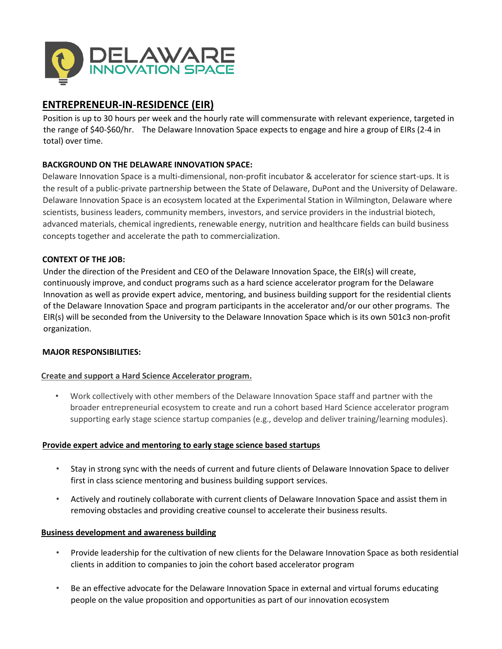

## **ENTREPRENEUR-IN-RESIDENCE (EIR)**

Position is up to 30 hours per week and the hourly rate will commensurate with relevant experience, targeted in the range of \$40-\$60/hr. The Delaware Innovation Space expects to engage and hire a group of EIRs (2-4 in total) over time.

### **BACKGROUND ON THE DELAWARE INNOVATION SPACE:**

Delaware Innovation Space is a multi-dimensional, non-profit incubator & accelerator for science start-ups. It is the result of a public-private partnership between the State of Delaware, DuPont and the University of Delaware. Delaware Innovation Space is an ecosystem located at the Experimental Station in Wilmington, Delaware where scientists, business leaders, community members, investors, and service providers in the industrial biotech, advanced materials, chemical ingredients, renewable energy, nutrition and healthcare fields can build business concepts together and accelerate the path to commercialization.

#### **CONTEXT OF THE JOB:**

Under the direction of the President and CEO of the Delaware Innovation Space, the EIR(s) will create, continuously improve, and conduct programs such as a hard science accelerator program for the Delaware Innovation as well as provide expert advice, mentoring, and business building support for the residential clients of the Delaware Innovation Space and program participants in the accelerator and/or our other programs. The EIR(s) will be seconded from the University to the Delaware Innovation Space which is its own 501c3 non-profit organization.

#### **MAJOR RESPONSIBILITIES:**

#### **Create and support a Hard Science Accelerator program.**

• Work collectively with other members of the Delaware Innovation Space staff and partner with the broader entrepreneurial ecosystem to create and run a cohort based Hard Science accelerator program supporting early stage science startup companies (e.g., develop and deliver training/learning modules).

#### **Provide expert advice and mentoring to early stage science based startups**

- Stay in strong sync with the needs of current and future clients of Delaware Innovation Space to deliver first in class science mentoring and business building support services.
- Actively and routinely collaborate with current clients of Delaware Innovation Space and assist them in removing obstacles and providing creative counsel to accelerate their business results.

#### **Business development and awareness building**

- Provide leadership for the cultivation of new clients for the Delaware Innovation Space as both residential clients in addition to companies to join the cohort based accelerator program
- Be an effective advocate for the Delaware Innovation Space in external and virtual forums educating people on the value proposition and opportunities as part of our innovation ecosystem